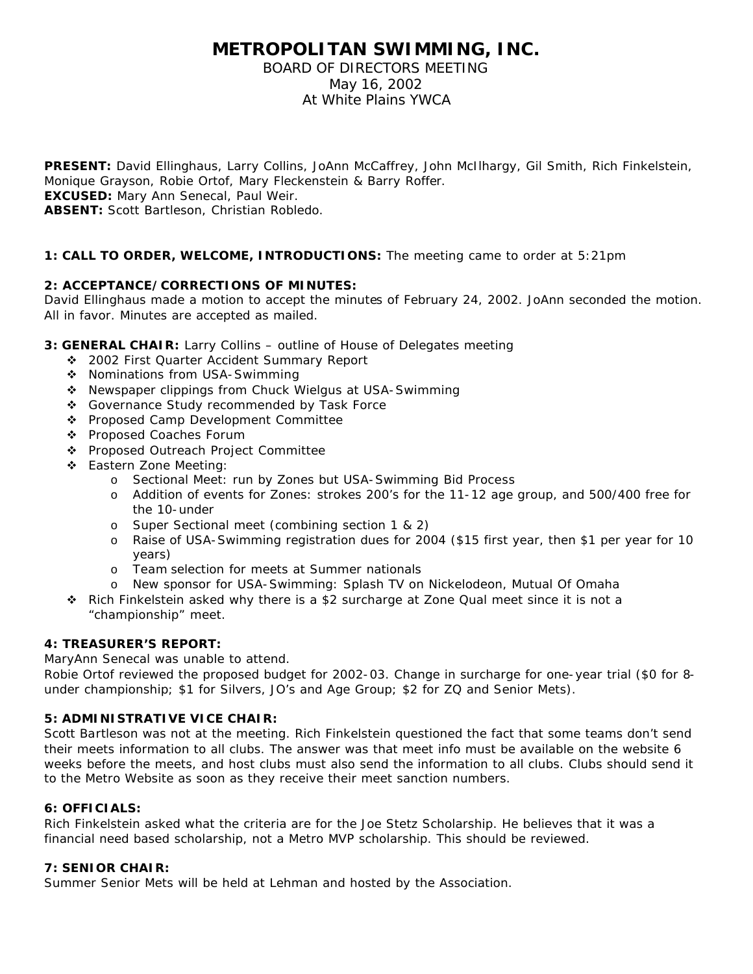# **METROPOLITAN SWIMMING, INC.**

# BOARD OF DIRECTORS MEETING May 16, 2002 At White Plains YWCA

**PRESENT:** David Ellinghaus, Larry Collins, JoAnn McCaffrey, John McIlhargy, Gil Smith, Rich Finkelstein, Monique Grayson, Robie Ortof, Mary Fleckenstein & Barry Roffer. **EXCUSED:** Mary Ann Senecal, Paul Weir. **ABSENT:** Scott Bartleson, Christian Robledo.

## **1: CALL TO ORDER, WELCOME, INTRODUCTIONS:** The meeting came to order at 5:21pm

## **2: ACCEPTANCE/CORRECTIONS OF MINUTES:**

David Ellinghaus made a motion to accept the minutes of February 24, 2002. JoAnn seconded the motion. All in favor. Minutes are accepted as mailed.

- **3: GENERAL CHAIR:** Larry Collins outline of House of Delegates meeting
	- ◆ 2002 First Quarter Accident Summary Report
	- ❖ Nominations from USA-Swimming
	- \* Newspaper clippings from Chuck Wielgus at USA-Swimming
	- ◆ Governance Study recommended by Task Force
	- ◆ Proposed Camp Development Committee
	- ❖ Proposed Coaches Forum
	- ◆ Proposed Outreach Project Committee
	- ❖ Eastern Zone Meeting:
		- o Sectional Meet: run by Zones but USA-Swimming Bid Process
		- o Addition of events for Zones: strokes 200's for the 11-12 age group, and 500/400 free for the 10-under
		- o Super Sectional meet (combining section 1 & 2)
		- o Raise of USA-Swimming registration dues for 2004 (\$15 first year, then \$1 per year for 10 years)
		- o Team selection for meets at Summer nationals
		- o New sponsor for USA-Swimming: Splash TV on Nickelodeon, Mutual Of Omaha
	- v Rich Finkelstein asked why there is a \$2 surcharge at Zone Qual meet since it is not a "championship" meet.

### **4: TREASURER'S REPORT:**

MaryAnn Senecal was unable to attend.

Robie Ortof reviewed the proposed budget for 2002-03. Change in surcharge for one-year trial (\$0 for 8 under championship; \$1 for Silvers, JO's and Age Group; \$2 for ZQ and Senior Mets).

### **5: ADMINISTRATIVE VICE CHAIR:**

Scott Bartleson was not at the meeting. Rich Finkelstein questioned the fact that some teams don't send their meets information to all clubs. The answer was that meet info must be available on the website 6 weeks before the meets, and host clubs must also send the information to all clubs. Clubs should send it to the Metro Website as soon as they receive their meet sanction numbers.

### **6: OFFICIALS:**

Rich Finkelstein asked what the criteria are for the Joe Stetz Scholarship. He believes that it was a financial need based scholarship, not a Metro MVP scholarship. This should be reviewed.

### **7: SENIOR CHAIR:**

Summer Senior Mets will be held at Lehman and hosted by the Association.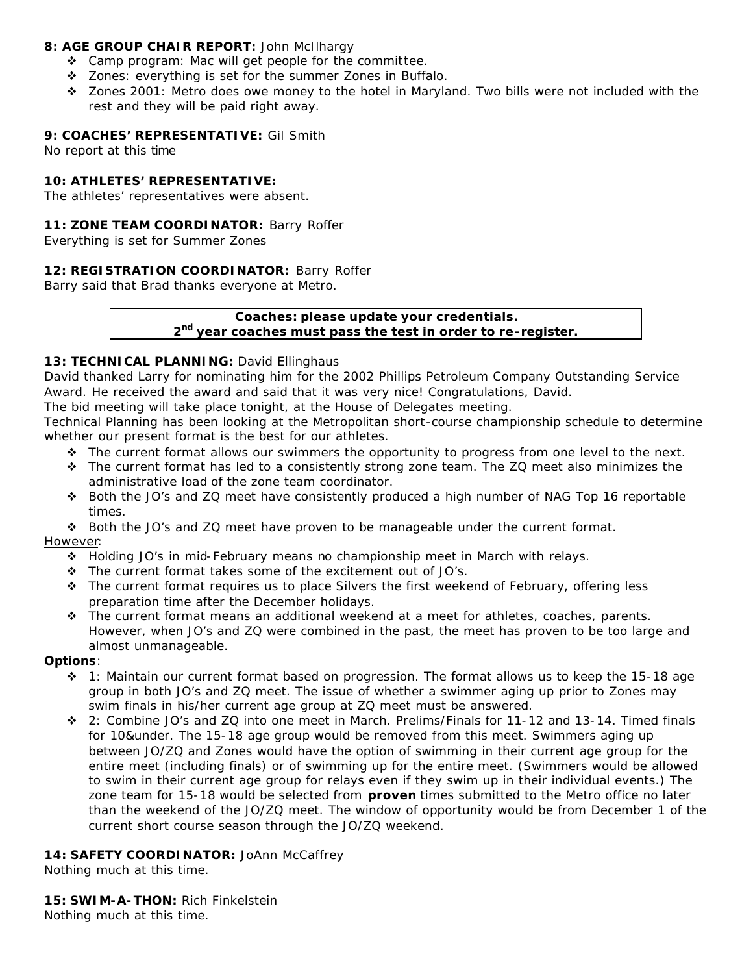### **8: AGE GROUP CHAIR REPORT:** John McIlhargy

- $\div$  Camp program: Mac will get people for the committee.
- v Zones: everything is set for the summer Zones in Buffalo.
- $\div$  Zones 2001: Metro does owe money to the hotel in Maryland. Two bills were not included with the rest and they will be paid right away.

## **9: COACHES' REPRESENTATIVE:** Gil Smith

No report at this time

## **10: ATHLETES' REPRESENTATIVE:**

The athletes' representatives were absent.

## **11: ZONE TEAM COORDINATOR:** Barry Roffer

Everything is set for Summer Zones

## **12: REGISTRATION COORDINATOR:** Barry Roffer

Barry said that Brad thanks everyone at Metro.

# **Coaches: please update your credentials. 2 nd year coaches must pass the test in order to re-register.**

## 13: TECHNICAL PLANNING: David Ellinghaus

David thanked Larry for nominating him for the 2002 Phillips Petroleum Company Outstanding Service Award. He received the award and said that it was very nice! Congratulations, David.

The bid meeting will take place tonight, at the House of Delegates meeting.

Technical Planning has been looking at the Metropolitan short-course championship schedule to determine whether our present format is the best for our athletes.

- \* The current format allows our swimmers the opportunity to progress from one level to the next.
- $\div$  The current format has led to a consistently strong zone team. The ZQ meet also minimizes the administrative load of the zone team coordinator.
- v Both the JO's and ZQ meet have consistently produced a high number of NAG Top 16 reportable times.

v Both the JO's and ZQ meet have proven to be manageable under the current format. However:

- $\div$  Holding JO's in mid-February means no championship meet in March with relays.
- $\cdot \cdot$  The current format takes some of the excitement out of JO's.
- $\div$  The current format requires us to place Silvers the first weekend of February, offering less preparation time after the December holidays.
- $\div$  The current format means an additional weekend at a meet for athletes, coaches, parents. However, when JO's and ZQ were combined in the past, the meet has proven to be too large and almost unmanageable.

### **Options**:

- $\div$  1: Maintain our current format based on progression. The format allows us to keep the 15-18 age group in both JO's and ZQ meet. The issue of whether a swimmer aging up prior to Zones may swim finals in his/her current age group at ZQ meet must be answered.
- v 2: Combine JO's and ZQ into one meet in March. Prelims/Finals for 11-12 and 13-14. Timed finals for 10&under. The 15-18 age group would be removed from this meet. Swimmers aging up between JO/ZQ and Zones would have the option of swimming in their current age group for the entire meet (including finals) or of swimming up for the entire meet. (Swimmers would be allowed to swim in their current age group for relays even if they swim up in their individual events.) The zone team for 15-18 would be selected from *proven* times submitted to the Metro office no later than the weekend of the JO/ZQ meet. The window of opportunity would be from December 1 of the current short course season through the JO/ZQ weekend.

### 14: SAFETY COORDINATOR: JoAnn McCaffrey

Nothing much at this time.

**15: SWIM-A-THON:** Rich Finkelstein Nothing much at this time.